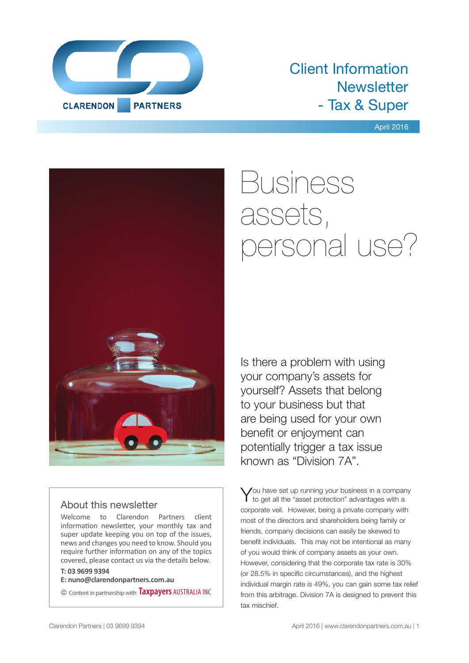

### Client Information **Newsletter** - Tax & Super

#### April 2016



### About this newsletter

Welcome to Clarendon Partners client information newsletter, your monthly tax and super update keeping you on top of the issues, news and changes you need to know. Should you require further information on any of the topics covered, please contact us via the details below.

### **T: 03 9699 9394**

**E: nuno@clarendonpartners.com.au**

© Content in partnership with **Taxpayers** AUSTRALIA INC

# Business assets, personal use?

Is there a problem with using your company's assets for yourself? Assets that belong to your business but that are being used for your own benefit or enjoyment can potentially trigger a tax issue known as "Division 7A".

You have set up running your business in a company<br>to get all the "asset protection" advantages with a corporate veil. However, being a private company with most of the directors and shareholders being family or friends, company decisions can easily be skewed to benefit individuals. This may not be intentional as many of you would think of company assets as your own. However, considering that the corporate tax rate is 30% (or 28.5% in specific circumstances), and the highest individual margin rate is 49%, you can gain some tax relief from this arbitrage. Division 7A is designed to prevent this tax mischief.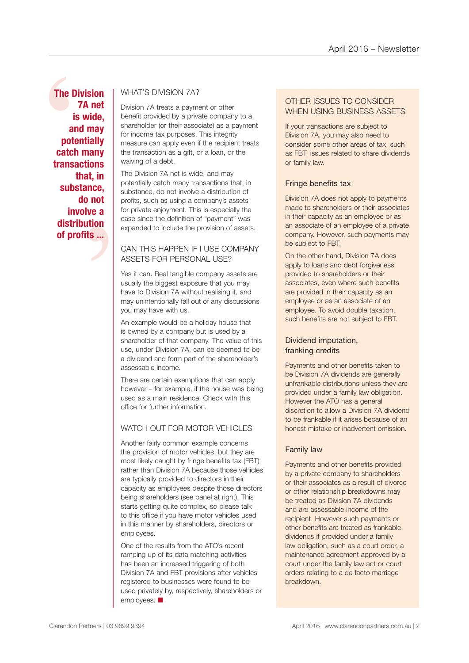The Diver<br>
7<br>
is<br>
and<br>
poter<br>
catch<br>
transad<br>
th<br>
subst t, in<br>
nce,<br>
not<br>
ve a<br>
tion<br>
is ... **The Division 7A net is wide, and may potentially catch many transactions that, in substance, do not involve a distribution of profits ...**

### WHAT'S DIVISION 7A?

Division 7A treats a payment or other benefit provided by a private company to a shareholder (or their associate) as a payment for income tax purposes. This integrity measure can apply even if the recipient treats the transaction as a gift, or a loan, or the waiving of a debt.

The Division 7A net is wide, and may potentially catch many transactions that, in substance, do not involve a distribution of profits, such as using a company's assets for private enjoyment. This is especially the case since the definition of "payment" was expanded to include the provision of assets.

### CAN THIS HAPPEN IF I USE COMPANY ASSETS FOR PERSONAL USE?

Yes it can. Real tangible company assets are usually the biggest exposure that you may have to Division 7A without realising it, and may unintentionally fall out of any discussions you may have with us.

An example would be a holiday house that is owned by a company but is used by a shareholder of that company. The value of this use, under Division 7A, can be deemed to be a dividend and form part of the shareholder's assessable income.

There are certain exemptions that can apply however – for example, if the house was being used as a main residence. Check with this office for further information.

### WATCH OUT FOR MOTOR VEHICLES

Another fairly common example concerns the provision of motor vehicles, but they are most likely caught by fringe benefits tax (FBT) rather than Division 7A because those vehicles are typically provided to directors in their capacity as employees despite those directors being shareholders (see panel at right). This starts getting quite complex, so please talk to this office if you have motor vehicles used in this manner by shareholders, directors or employees.

One of the results from the ATO's recent ramping up of its data matching activities has been an increased triggering of both Division 7A and FBT provisions after vehicles registered to businesses were found to be used privately by, respectively, shareholders or employees.  $\blacksquare$ 

### OTHER ISSUES TO CONSIDER WHEN USING BUSINESS ASSETS

If your transactions are subject to Division 7A, you may also need to consider some other areas of tax, such as FBT, issues related to share dividends or family law.

### Fringe benefits tax

Division 7A does not apply to payments made to shareholders or their associates in their capacity as an employee or as an associate of an employee of a private company. However, such payments may be subject to FBT.

On the other hand, Division 7A does apply to loans and debt forgiveness provided to shareholders or their associates, even where such benefits are provided in their capacity as an employee or as an associate of an employee. To avoid double taxation, such benefits are not subject to FBT.

### Dividend imputation, franking credits

Payments and other benefits taken to be Division 7A dividends are generally unfrankable distributions unless they are provided under a family law obligation. However the ATO has a general discretion to allow a Division 7A dividend to be frankable if it arises because of an honest mistake or inadvertent omission.

### Family law

Payments and other benefits provided by a private company to shareholders or their associates as a result of divorce or other relationship breakdowns may be treated as Division 7A dividends and are assessable income of the recipient. However such payments or other benefits are treated as frankable dividends if provided under a family law obligation, such as a court order, a maintenance agreement approved by a court under the family law act or court orders relating to a de facto marriage breakdown.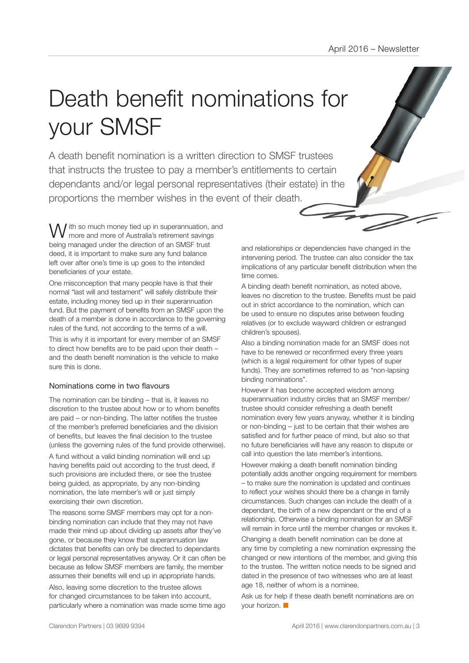# Death benefit nominations for your SMSF

A death benefit nomination is a written direction to SMSF trustees that instructs the trustee to pay a member's entitlements to certain dependants and/or legal personal representatives (their estate) in the proportions the member wishes in the event of their death.

I ith so much money tied up in superannuation, and more and more of Australia's retirement savings being managed under the direction of an SMSF trust deed, it is important to make sure any fund balance left over after one's time is up goes to the intended beneficiaries of your estate.

One misconception that many people have is that their normal "last will and testament" will safely distribute their estate, including money tied up in their superannuation fund. But the payment of benefits from an SMSF upon the death of a member is done in accordance to the governing rules of the fund, not according to the terms of a will.

This is why it is important for every member of an SMSF to direct how benefits are to be paid upon their death – and the death benefit nomination is the vehicle to make sure this is done.

#### Nominations come in two flavours

The nomination can be binding – that is, it leaves no discretion to the trustee about how or to whom benefits are paid – or non-binding. The latter notifies the trustee of the member's preferred beneficiaries and the division of benefits, but leaves the final decision to the trustee (unless the governing rules of the fund provide otherwise).

A fund without a valid binding nomination will end up having benefits paid out according to the trust deed, if such provisions are included there, or see the trustee being guided, as appropriate, by any non-binding nomination, the late member's will or just simply exercising their own discretion.

The reasons some SMSF members may opt for a nonbinding nomination can include that they may not have made their mind up about dividing up assets after they've gone, or because they know that superannuation law dictates that benefits can only be directed to dependants or legal personal representatives anyway. Or it can often be because as fellow SMSF members are family, the member assumes their benefits will end up in appropriate hands.

Also, leaving some discretion to the trustee allows for changed circumstances to be taken into account, particularly where a nomination was made some time ago and relationships or dependencies have changed in the intervening period. The trustee can also consider the tax implications of any particular benefit distribution when the time comes.

A binding death benefit nomination, as noted above, leaves no discretion to the trustee. Benefits must be paid out in strict accordance to the nomination, which can be used to ensure no disputes arise between feuding relatives (or to exclude wayward children or estranged children's spouses).

Also a binding nomination made for an SMSF does not have to be renewed or reconfirmed every three years (which is a legal requirement for other types of super funds). They are sometimes referred to as "non-lapsing binding nominations".

However it has become accepted wisdom among superannuation industry circles that an SMSF member/ trustee should consider refreshing a death benefit nomination every few years anyway, whether it is binding or non-binding – just to be certain that their wishes are satisfied and for further peace of mind, but also so that no future beneficiaries will have any reason to dispute or call into question the late member's intentions.

However making a death benefit nomination binding potentially adds another ongoing requirement for members – to make sure the nomination is updated and continues to reflect your wishes should there be a change in family circumstances. Such changes can include the death of a dependant, the birth of a new dependant or the end of a relationship. Otherwise a binding nomination for an SMSF will remain in force until the member changes or revokes it.

Changing a death benefit nomination can be done at any time by completing a new nomination expressing the changed or new intentions of the member, and giving this to the trustee. The written notice needs to be signed and dated in the presence of two witnesses who are at least age 18, neither of whom is a nominee.

Ask us for help if these death benefit nominations are on your horizon.  $\blacksquare$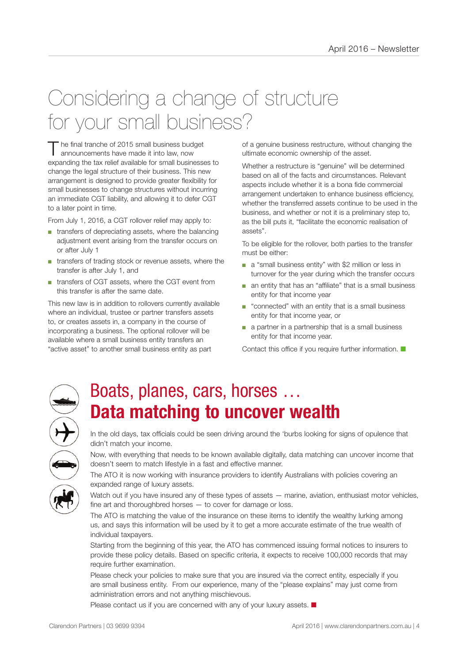### Considering a change of structure for your small business?

The final tranche of 2015 small business budget<br>announcements have made it into law, now expanding the tax relief available for small businesses to change the legal structure of their business. This new arrangement is designed to provide greater flexibility for small businesses to change structures without incurring an immediate CGT liability, and allowing it to defer CGT to a later point in time.

From July 1, 2016, a CGT rollover relief may apply to:

- transfers of depreciating assets, where the balancing adjustment event arising from the transfer occurs on or after July 1
- transfers of trading stock or revenue assets, where the transfer is after July 1, and
- transfers of CGT assets, where the CGT event from this transfer is after the same date.

This new law is in addition to rollovers currently available where an individual, trustee or partner transfers assets to, or creates assets in, a company in the course of incorporating a business. The optional rollover will be available where a small business entity transfers an "active asset" to another small business entity as part

of a genuine business restructure, without changing the ultimate economic ownership of the asset.

Whether a restructure is "genuine" will be determined based on all of the facts and circumstances. Relevant aspects include whether it is a bona fide commercial arrangement undertaken to enhance business efficiency, whether the transferred assets continue to be used in the business, and whether or not it is a preliminary step to, as the bill puts it, "facilitate the economic realisation of assets".

To be eligible for the rollover, both parties to the transfer must be either:

- a "small business entity" with \$2 million or less in turnover for the year during which the transfer occurs
- an entity that has an "affiliate" that is a small business entity for that income year
- "connected" with an entity that is a small business entity for that income year, or
- a partner in a partnership that is a small business entity for that income year.

Contact this office if you require further information.  $\blacksquare$ 



### Boats, planes, cars, horses … **Data matching to uncover wealth**

In the old days, tax officials could be seen driving around the 'burbs looking for signs of opulence that didn't match your income.

Now, with everything that needs to be known available digitally, data matching can uncover income that doesn't seem to match lifestyle in a fast and effective manner.

The ATO it is now working with insurance providers to identify Australians with policies covering an expanded range of luxury assets.

Watch out if you have insured any of these types of assets — marine, aviation, enthusiast motor vehicles, fine art and thoroughbred horses — to cover for damage or loss.

The ATO is matching the value of the insurance on these items to identify the wealthy lurking among us, and says this information will be used by it to get a more accurate estimate of the true wealth of individual taxpayers.

Starting from the beginning of this year, the ATO has commenced issuing formal notices to insurers to provide these policy details. Based on specific criteria, it expects to receive 100,000 records that may require further examination.

Please check your policies to make sure that you are insured via the correct entity, especially if you are small business entity. From our experience, many of the "please explains" may just come from administration errors and not anything mischievous.

Please contact us if you are concerned with any of your luxury assets.  $\blacksquare$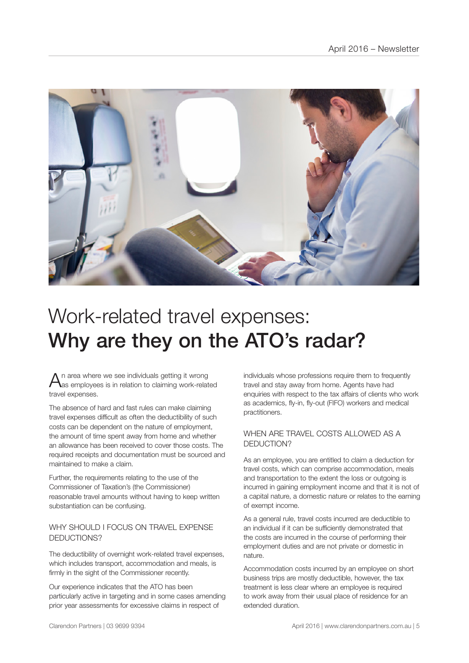

### Work-related travel expenses: Why are they on the ATO's radar?

 $A$ n area where we see individuals getting it wrong<br>Aas employees is in relation to claiming work-related travel expenses.

The absence of hard and fast rules can make claiming travel expenses difficult as often the deductibility of such costs can be dependent on the nature of employment, the amount of time spent away from home and whether an allowance has been received to cover those costs. The required receipts and documentation must be sourced and maintained to make a claim.

Further, the requirements relating to the use of the Commissioner of Taxation's (the Commissioner) reasonable travel amounts without having to keep written substantiation can be confusing.

### WHY SHOULD LEOCUS ON TRAVEL EXPENSE DEDUCTIONS?

The deductibility of overnight work-related travel expenses, which includes transport, accommodation and meals, is firmly in the sight of the Commissioner recently.

Our experience indicates that the ATO has been particularly active in targeting and in some cases amending prior year assessments for excessive claims in respect of

individuals whose professions require them to frequently travel and stay away from home. Agents have had enquiries with respect to the tax affairs of clients who work as academics, fly-in, fly-out (FIFO) workers and medical practitioners.

### WHEN ARE TRAVEL COSTS ALLOWED AS A DEDUCTION?

As an employee, you are entitled to claim a deduction for travel costs, which can comprise accommodation, meals and transportation to the extent the loss or outgoing is incurred in gaining employment income and that it is not of a capital nature, a domestic nature or relates to the earning of exempt income.

As a general rule, travel costs incurred are deductible to an individual if it can be sufficiently demonstrated that the costs are incurred in the course of performing their employment duties and are not private or domestic in nature.

Accommodation costs incurred by an employee on short business trips are mostly deductible, however, the tax treatment is less clear where an employee is required to work away from their usual place of residence for an extended duration.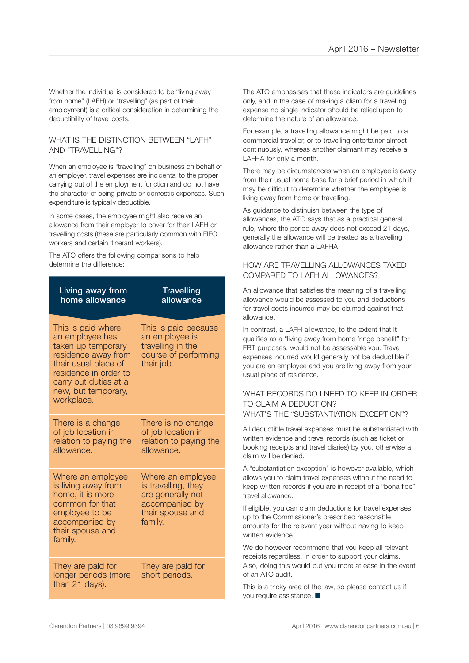Whether the individual is considered to be "living away from home" (LAFH) or "travelling" (as part of their employment) is a critical consideration in determining the deductibility of travel costs.

#### WHAT IS THE DISTINCTION BETWEEN "I AFH" AND "TRAVELLING"?

When an employee is "travelling" on business on behalf of an employer, travel expenses are incidental to the proper carrying out of the employment function and do not have the character of being private or domestic expenses. Such expenditure is typically deductible.

In some cases, the employee might also receive an allowance from their employer to cover for their LAFH or travelling costs (these are particularly common with FIFO workers and certain itinerant workers).

The ATO offers the following comparisons to help determine the difference:

| Living away from<br>home allowance                                                                                                                                                                | <b>Travelling</b><br>allowance                                                                                 |
|---------------------------------------------------------------------------------------------------------------------------------------------------------------------------------------------------|----------------------------------------------------------------------------------------------------------------|
| This is paid where<br>an employee has<br>taken up temporary<br>residence away from<br>their usual place of<br>residence in order to<br>carry out duties at a<br>new, but temporary,<br>workplace. | This is paid because<br>an employee is<br>travelling in the<br>course of performing<br>their job.              |
| There is a change<br>of job location in<br>relation to paying the<br>allowance.                                                                                                                   | There is no change<br>of job location in<br>relation to paying the<br>allowance.                               |
| Where an employee<br>is living away from<br>home, it is more<br>common for that<br>employee to be<br>accompanied by<br>their spouse and<br>family.                                                | Where an employee<br>is travelling, they<br>are generally not<br>accompanied by<br>their spouse and<br>family. |
| They are paid for<br>longer periods (more<br>than 21 days).                                                                                                                                       | They are paid for<br>short periods.                                                                            |

The ATO emphasises that these indicators are guidelines only, and in the case of making a cliam for a travelling expense no single indicator should be relied upon to determine the nature of an allowance.

For example, a travelling allowance might be paid to a commercial traveller, or to travelling entertainer almost continuously, whereas another claimant may receive a LAFHA for only a month.

There may be circumstances when an employee is away from their usual home base for a brief period in which it may be difficult to determine whether the employee is living away from home or travelling.

As guidance to distinuish between the type of allowances, the ATO says that as a practical general rule, where the period away does not exceed 21 days, generally the allowance will be treated as a travelling allowance rather than a LAFHA.

### HOW ARE TRAVELLING ALLOWANCES TAXED COMPARED TO LAFH ALLOWANCES?

An allowance that satisfies the meaning of a travelling allowance would be assessed to you and deductions for travel costs incurred may be claimed against that allowance.

In contrast, a LAFH allowance, to the extent that it qualifies as a "living away from home fringe benefit" for FBT purposes, would not be assessable you. Travel expenses incurred would generally not be deductible if you are an employee and you are living away from your usual place of residence.

#### WHAT RECORDS DO I NEED TO KEEP IN ORDER TO CLAIM A DEDUCTION? WHAT'S THE "SUBSTANTIATION EXCEPTION"?

All deductible travel expenses must be substantiated with written evidence and travel records (such as ticket or booking receipts and travel diaries) by you, otherwise a claim will be denied.

A "substantiation exception" is however available, which allows you to claim travel expenses without the need to keep written records if you are in receipt of a "bona fide" travel allowance.

If eligible, you can claim deductions for travel expenses up to the Commissioner's prescribed reasonable amounts for the relevant year without having to keep written evidence.

We do however recommend that you keep all relevant receipts regardless, in order to support your claims. Also, doing this would put you more at ease in the event of an ATO audit.

This is a tricky area of the law, so please contact us if you require assistance.  $\blacksquare$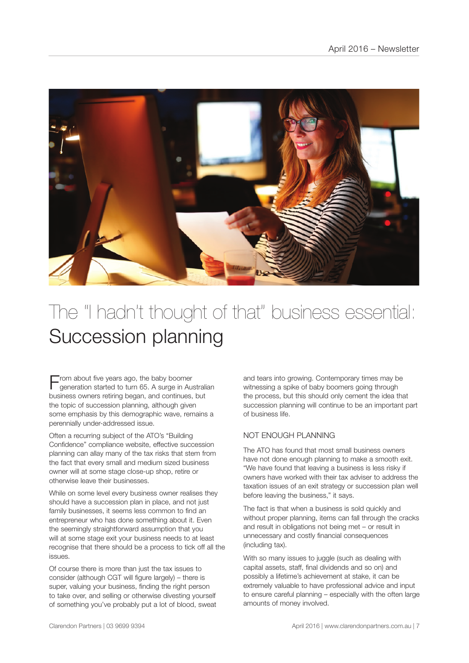

### The "I hadn't thought of that" business essential: Succession planning

 $\blacksquare$  rom about five years ago, the baby boomer generation started to turn 65. A surge in Australian business owners retiring began, and continues, but the topic of succession planning, although given some emphasis by this demographic wave, remains a perennially under-addressed issue.

Often a recurring subject of the ATO's "Building Confidence" compliance website, effective succession planning can allay many of the tax risks that stem from the fact that every small and medium sized business owner will at some stage close-up shop, retire or otherwise leave their businesses.

While on some level every business owner realises they should have a succession plan in place, and not just family businesses, it seems less common to find an entrepreneur who has done something about it. Even the seemingly straightforward assumption that you will at some stage exit your business needs to at least recognise that there should be a process to tick off all the issues.

Of course there is more than just the tax issues to consider (although CGT will figure largely) – there is super, valuing your business, finding the right person to take over, and selling or otherwise divesting yourself of something you've probably put a lot of blood, sweat

and tears into growing. Contemporary times may be witnessing a spike of baby boomers going through the process, but this should only cement the idea that succession planning will continue to be an important part of business life.

### NOT ENOUGH PLANNING

The ATO has found that most small business owners have not done enough planning to make a smooth exit. "We have found that leaving a business is less risky if owners have worked with their tax adviser to address the taxation issues of an exit strategy or succession plan well before leaving the business," it says.

The fact is that when a business is sold quickly and without proper planning, items can fall through the cracks and result in obligations not being met – or result in unnecessary and costly financial consequences (including tax).

With so many issues to juggle (such as dealing with capital assets, staff, final dividends and so on) and possibly a lifetime's achievement at stake, it can be extremely valuable to have professional advice and input to ensure careful planning – especially with the often large amounts of money involved.